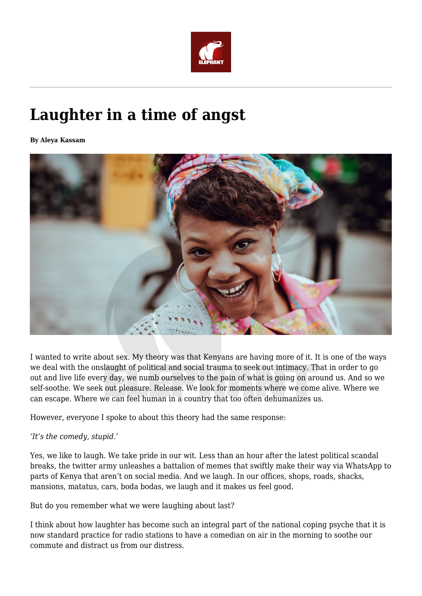

## **Laughter in a time of angst**

**By Aleya Kassam**



I wanted to write about sex. My theory was that Kenyans are having more of it. It is one of the ways we deal with the onslaught of political and social trauma to seek out intimacy. That in order to go out and live life every day, we numb ourselves to the pain of what is going on around us. And so we self-soothe. We seek out pleasure. Release. We look for moments where we come alive. Where we can escape. Where we can feel human in a country that too often dehumanizes us.

However, everyone I spoke to about this theory had the same response:

## *'It's the comedy, stupid.'*

Yes, we like to laugh. We take pride in our wit. Less than an hour after the latest political scandal breaks, the twitter army unleashes a battalion of memes that swiftly make their way via WhatsApp to parts of Kenya that aren't on social media. And we laugh. In our offices, shops, roads, shacks, mansions, matatus, cars, boda bodas, we laugh and it makes us feel good.

But do you remember what we were laughing about last?

I think about how laughter has become such an integral part of the national coping psyche that it is now standard practice for radio stations to have a comedian on air in the morning to soothe our commute and distract us from our distress.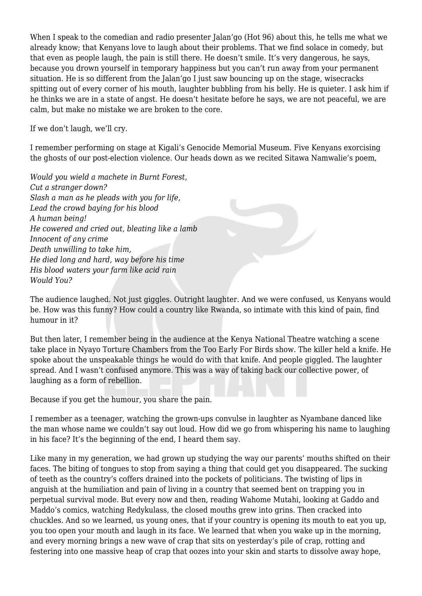When I speak to the comedian and radio presenter Jalan'go (Hot 96) about this, he tells me what we already know; that Kenyans love to laugh about their problems. That we find solace in comedy, but that even as people laugh, the pain is still there. He doesn't smile. It's very dangerous, he says, because you drown yourself in temporary happiness but you can't run away from your permanent situation. He is so different from the Jalan'go I just saw bouncing up on the stage, wisecracks spitting out of every corner of his mouth, laughter bubbling from his belly. He is quieter. I ask him if he thinks we are in a state of angst. He doesn't hesitate before he says, we are not peaceful, we are calm, but make no mistake we are broken to the core.

If we don't laugh, we'll cry.

I remember performing on stage at Kigali's Genocide Memorial Museum. Five Kenyans exorcising the ghosts of our post-election violence. Our heads down as we recited Sitawa Namwalie's poem,

*Would you wield a machete in Burnt Forest, Cut a stranger down? Slash a man as he pleads with you for life, Lead the crowd baying for his blood A human being! He cowered and cried out, bleating like a lamb Innocent of any crime Death unwilling to take him, He died long and hard, way before his time His blood waters your farm like acid rain Would You?*

The audience laughed. Not just giggles. Outright laughter. And we were confused, us Kenyans would be. How was this funny? How could a country like Rwanda, so intimate with this kind of pain, find humour in it?

But then later, I remember being in the audience at the Kenya National Theatre watching a scene take place in Nyayo Torture Chambers from the Too Early For Birds show. The killer held a knife. He spoke about the unspeakable things he would do with that knife. And people giggled. The laughter spread. And I wasn't confused anymore. This was a way of taking back our collective power, of laughing as a form of rebellion.

Because if you get the humour, you share the pain.

I remember as a teenager, watching the grown-ups convulse in laughter as Nyambane danced like the man whose name we couldn't say out loud. How did we go from whispering his name to laughing in his face? It's the beginning of the end, I heard them say.

Like many in my generation, we had grown up studying the way our parents' mouths shifted on their faces. The biting of tongues to stop from saying a thing that could get you disappeared. The sucking of teeth as the country's coffers drained into the pockets of politicians. The twisting of lips in anguish at the humiliation and pain of living in a country that seemed bent on trapping you in perpetual survival mode. But every now and then, reading Wahome Mutahi, looking at Gaddo and Maddo's comics, watching Redykulass, the closed mouths grew into grins. Then cracked into chuckles. And so we learned, us young ones, that if your country is opening its mouth to eat you up, you too open your mouth and laugh in its face. We learned that when you wake up in the morning, and every morning brings a new wave of crap that sits on yesterday's pile of crap, rotting and festering into one massive heap of crap that oozes into your skin and starts to dissolve away hope,